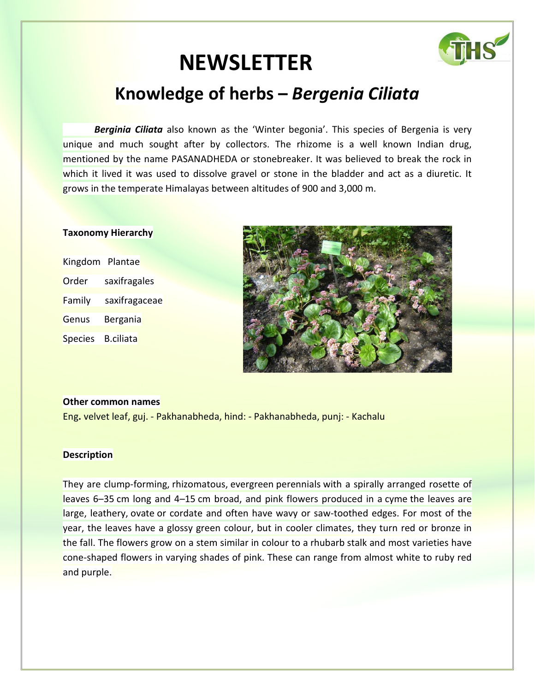# **NEWSLETTER**



## **Knowledge of herbs –** *Bergenia Ciliata*

**Berginia Ciliata** also known as the 'Winter begonia'. This species of Bergenia is very unique and much sought after by collectors. The rhizome is a well known Indian drug, mentioned by the name PASANADHEDA or stonebreaker. It was believed to break the rock in which it lived it was used to dissolve gravel or stone in the bladder and act as a diuretic. It grows in the temperate Himalayas between altitudes of 900 and 3,000 m.

#### **Taxonomy Hierarchy**

| Kingdom Plantae |                  |
|-----------------|------------------|
| Order           | saxifragales     |
| Family          | saxifragaceae    |
| Genus           | Bergania         |
| <b>Species</b>  | <b>B.ciliata</b> |



#### **Other common names**

Eng**.** velvet leaf, guj. - Pakhanabheda, hind: - Pakhanabheda, punj: - Kachalu

#### **Description**

They are clump-forming, rhizomatous, evergreen perennials with a spirally arranged rosette of leaves 6–35 cm long and 4–15 cm broad, and pink flowers produced in a cyme the leaves are large, leathery, ovate or cordate and often have wavy or saw-toothed edges. For most of the year, the leaves have a glossy green colour, but in cooler climates, they turn red or bronze in the fall. The flowers grow on a stem similar in colour to a rhubarb stalk and most varieties have cone-shaped flowers in varying shades of pink. These can range from almost white to ruby red and purple.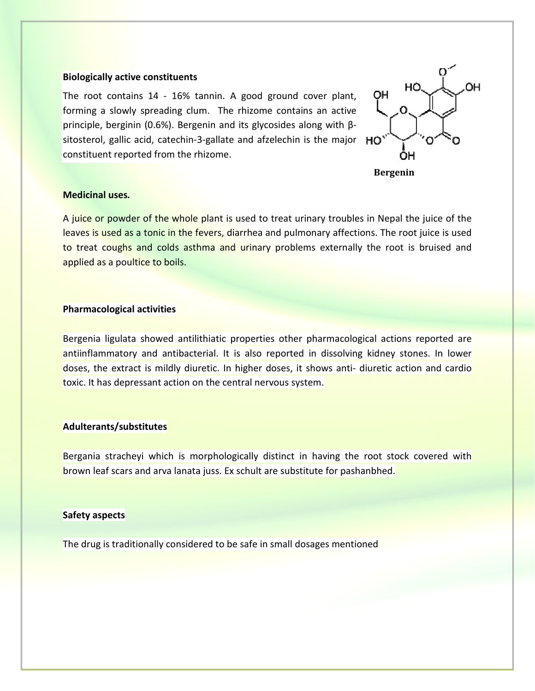#### **Biologically active constituents**

The root contains 14 - 16% tannin. A good ground cover plant, forming a slowly spreading clum. The rhizome contains an active principle, berginin (0.6%). Bergenin and its glycosides along with βsitosterol, gallic acid, catechin-3-gallate and afzelechin is the major constituent reported from the rhizome.



 **Bergenin** 

#### **Medicinal uses***.*

A juice or powder of the whole plant is used to treat urinary troubles in Nepal the juice of the A juice or powder of the whole plant is used to treat urinary troubles in Nepal the juice of the<br>leaves is used as a tonic in the fevers, diarrhea and pulmonary affections. The root juice is used to treat coughs and colds asthma and urinary problems externally the root is bruised and applied as a poultice to boils.

#### **Pharmacological activities**

Bergenia ligulata showed antilithiatic properties other pharmacological actions reported are antiinflammatory and antibacterial. It is also reported in dissolving kidney stones. In lower doses, the extract is mildly diuretic. In higher doses, it shows anti- diuretic action and cardio toxic. It has depressant action on the central nervous system. ry affections. The root juice is used<br>externally the root is bruised and<br>internal actions reported are<br>dissolving kidney stones. In lower<br>ws anti-diuretic action and cardio

#### **Adulterants/substitutes**

Bergania stracheyi which is morphologically distinct in having the root stock covered with brown leaf scars and arva lanata juss. Ex schult are substitute for pashanbhed. toxic. It has depressant action on the central nervous system.<br> **Adulterants/substitutes**<br>
Bergania stracheyi which is morphologically distinct in having the root stock covered with<br>
brown leaf scars and arva lanata juss.

#### **Safety aspects**

The drug is traditionally considered to be safe in small dosages mentioned